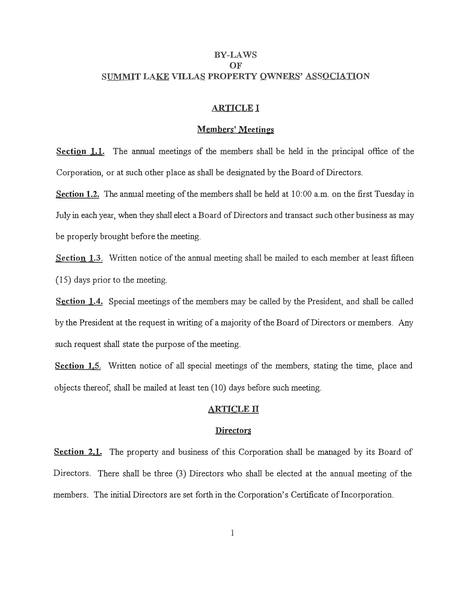# BY-LAWS **OF** SUMMIT LAKE VILLAS PROPERTY OWNERS' ASSOCIATION

## ARTICLE I

# Members' Meetings

Section 1.1. The annual meetings of the members shall be held in the principal office of the Corporation, or at such other place as shall be designated by the Board of Directors.

Section 1.2. The annual meeting of the members shall be held at 10:00 a.m. on the first Tuesday in July in each year, when they shall elect a Board of Directors and transact such other business as may be properly brought before the meeting.

Section 1.3. Written notice of the annual meeting shall be mailed to each member at least fifteen ( 15) days prior to the meeting.

**Section** 1.4. Special meetings of the members may be called by the President, and shall be called by the President at the request in writing of a majority of the Board of Directors or members. Any such request shall state the purpose of the meeting.

**Section 1.5.** Written notice of all special meetings of the members, stating the time, place and objects thereof, shall be mailed at least ten (10) days before such meeting.

### ARTICLE II

#### **Directors**

**Section 2.1.** The property and business of this Corporation shall be managed by its Board of Directors. There shall be three (3) Directors who shall be elected at the annual meeting of the members. The initial Directors are set forth in the Corporation's Certificate of Incorporation.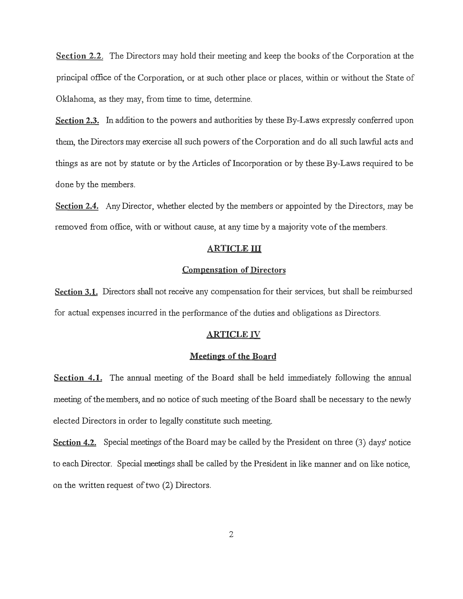**Section 2.2.** The Directors may hold their meeting and keep the books of the Corporation at the principal office of the Corporation, or at such other place or places, within or without the State of Oklahoma, as they may, from time to time, determine.

**Section 2.3.** In addition to the powers and authorities by these By-Laws expressly conferred upon them., the Directors may exercise all such powers of the Corporation and do all such lawful acts and things as are not by statute or by the Articles of Incorporation or by these By-Laws required to be done by the members.

**Section** 2.4. Any Director, whether elected by the members or appointed by the Directors, may be removed from office, with or without cause, at any time by a majority vote of the members.

#### **ARTICLE ID**

### **Compensation of Directors**

**Section 3.1.** Directors shall not receive any compensation for their services, but shall be reimbursed for actual expenses incurred in the performance of the duties and obligations as Directors.

### **ARTICLE IV**

#### **Meetings of the Board**

**Section 4.1.** The annual meeting of the Board shall be held immediately following the annual meeting of the members, and no notice of such meeting of the Board shall be necessary to the newly elected Directors in order to legally constitute such meeting.

**Section 4.2.** Special meetings of the Board may be called by the President on three (3) days' notice to each Director. Special meetings shall be called by the President in like manner and on like notice, on the written request of two (2) Directors.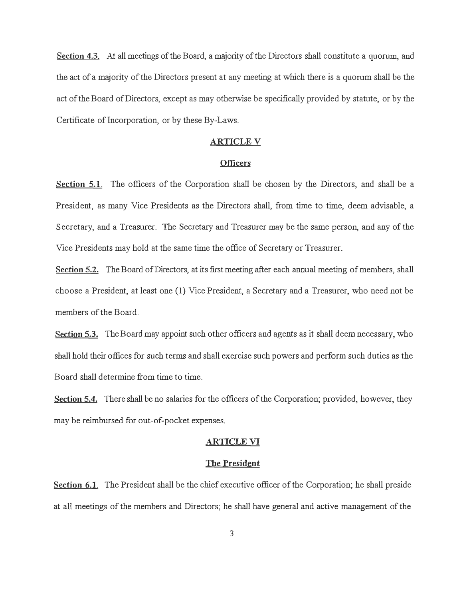Section 4.3. At all meetings of the Board, a majority of the Directors shall constitute a quorum, and the act of a majority of the Directors present at any meeting at which there is a quorum shall be the act of the Board ofDirectors, except as may otherwise be specifically provided by statute, or by the Certificate of Incorporation, or by these By-Laws.

### **ARTICLEV**

## **Officers**

**Section 5.1.** The officers of the Corporation shall be chosen by the Directors, and shall be a President, as many Vice Presidents as the Directors shall, from time to time, deem advisable, a Secretary, and a Treasurer. The Secretary and Treasurer may be the same person, and any of the Vice Presidents may hold at the same time the office of Secretary or Treasurer.

Section 5.2. The Board of Directors, at its first meeting after each annual meeting of members, shall choose a President, at least one (1) Vice President, a Secretary and a Treasurer, who need not be members of the Board.

Section 5.3. The Board may appoint such other officers and agents as it shall deem necessary, who shall hold their offices for such terms and shall exercise such powers and perform such duties as the Board shall determine from time to time.

**Section 5.4.** There shall be no salaries for the officers of the Corporation; provided, however, they may be reimbursed for out-of-pocket expenses.

## **ARTICLE VI**

#### **The President**

**Section 6.1.** The President shall be the chief executive officer of the Corporation; he shall preside at all meetings of the members and Directors; he shall have general and active management of the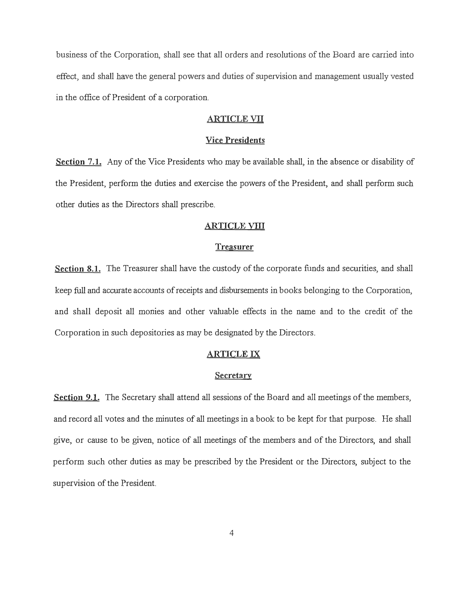business of the Corporation, shall see that all orders and resolutions of the Board are carried into effect, and shall have the general powers and duties of supervision and management usually vested in the office of President of a corporation.

# **ARTICLE VII**

#### **Vice Presidents**

**Section** 7.1. Any of the Vice Presidents who may be available shall, in the absence or disability of the President, perform the duties and exercise the powers of the President, and shall perform such other duties as the Directors shall prescribe.

#### **ARTICLE YID**

### **Treasurer**

**Section** 8.1. The Treasurer shall have the custody of the corporate funds and securities, and shall keep full and accurate accounts of receipts and disbursements in books belonging to the Corporation, and shall deposit all monies and other valuable effects in the name and to the credit of the Corporation in such depositories as may be designated by the Directors.

### **ARTICLE IX**

#### **Secretary**

**Section 9.1.** The Secretary shall attend all sessions of the Board and all meetings of the members, and record all votes and the minutes of all meetings in a book to be kept for that purpose. He shall give, or cause to be given, notice of all meetings of the members and of the Directors, and shall perform such other duties as may be prescribed by the President or the Directors, subject to the supervision of the President.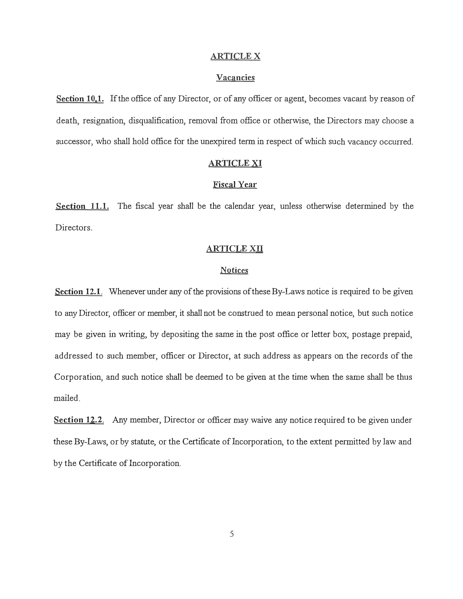### **ARTICLEX**

### **Vacancies**

**Section 10.1.** If the office of any Director, or of any officer or agent, becomes vacant by reason of death, resignation, disqualification, removal from office or otherwise, the Directors may choose a successor, who shall hold office for the unexpired term in respect of which such vacancy occurred.

### **ARTICLE XI**

### **Fiscal Year**

**Section 11.1.** The fiscal year shall be the calendar year, unless otherwise determined by the Directors.

### **ARTICLE XII**

### **Notices**

**Section 12.1.** Whenever under any of the provisions of these By-Laws notice is required to be given to any Director, officer or member, it shall not be construed to mean personal notice, but such notice may be given in writing, by depositing the same in the post office or letter box, postage prepaid, addressed to such member, officer or Director, at such address as appears on the records of the Corporation, and such notice shall be deemed to be given at the time when the same shall be thus mailed.

**Section 12.2.** Any member, Director or officer may waive any notice required to be given under these By-Laws, or by statute, or the Certificate of Incorporation, to the extent permitted by law and by the Certificate of Incorporation.